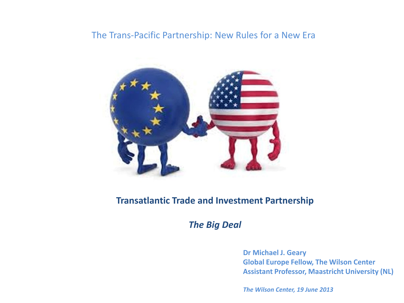#### The Trans-Pacific Partnership: New Rules for a New Era



#### **Transatlantic Trade and Investment Partnership**

*The Big Deal*

**Dr Michael J. Geary Global Europe Fellow, The Wilson Center Assistant Professor, Maastricht University (NL)**

*The Wilson Center, 19 June 2013*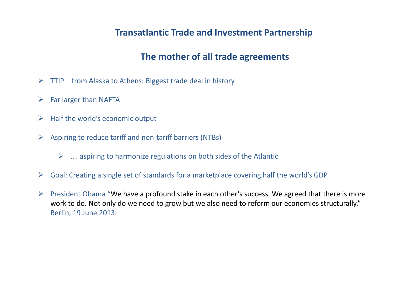#### **Transatlantic Trade and Investment Partnership**

## **The mother of all trade agreements**

- $\triangleright$  TTIP from Alaska to Athens: Biggest trade deal in history
- $\triangleright$  Far larger than NAFTA
- $\triangleright$  Half the world's economic output
- $\triangleright$  Aspiring to reduce tariff and non-tariff barriers (NTBs)
	- $\triangleright$  .... aspiring to harmonize regulations on both sides of the Atlantic
- $\triangleright$  Goal: Creating a single set of standards for a marketplace covering half the world's GDP
- $\triangleright$  President Obama "We have a profound stake in each other's success. We agreed that there is more work to do. Not only do we need to grow but we also need to reform our economies structurally." Berlin, 19 June 2013.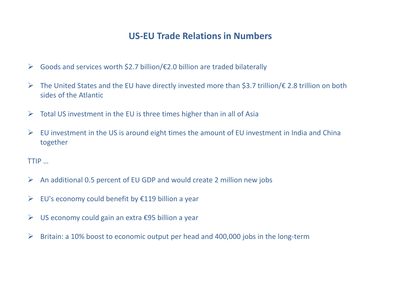## **US-EU Trade Relations in Numbers**

- $\triangleright$  Goods and services worth \$2.7 billion/ $\epsilon$ 2.0 billion are traded bilaterally
- The United States and the EU have directly invested more than \$3.7 trillion/€ 2.8 trillion on both sides of the Atlantic
- $\triangleright$  Total US investment in the EU is three times higher than in all of Asia
- $\triangleright$  EU investment in the US is around eight times the amount of EU investment in India and China together

TTIP …

- $\triangleright$  An additional 0.5 percent of EU GDP and would create 2 million new jobs
- $\triangleright$  EU's economy could benefit by  $\epsilon$ 119 billion a year
- $\triangleright$  US economy could gain an extra  $\epsilon$ 95 billion a year
- $\triangleright$  Britain: a 10% boost to economic output per head and 400,000 jobs in the long-term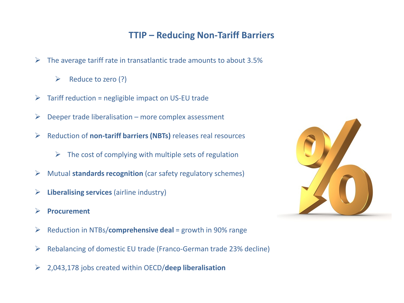# **TTIP – Reducing Non-Tariff Barriers**

- $\triangleright$  The average tariff rate in transatlantic trade amounts to about 3.5%
	- $\triangleright$  Reduce to zero (?)
- $\triangleright$  Tariff reduction = negligible impact on US-EU trade
- $\triangleright$  Deeper trade liberalisation more complex assessment
- Reduction of **non-tariff barriers (NBTs)** releases real resources
	- $\triangleright$  The cost of complying with multiple sets of regulation
- Mutual **standards recognition** (car safety regulatory schemes)
- **Liberalising services** (airline industry)
- **Procurement**
- Reduction in NTBs/**comprehensive deal** = growth in 90% range
- $\triangleright$  Rebalancing of domestic EU trade (Franco-German trade 23% decline)
- 2,043,178 jobs created within OECD/**deep liberalisation**